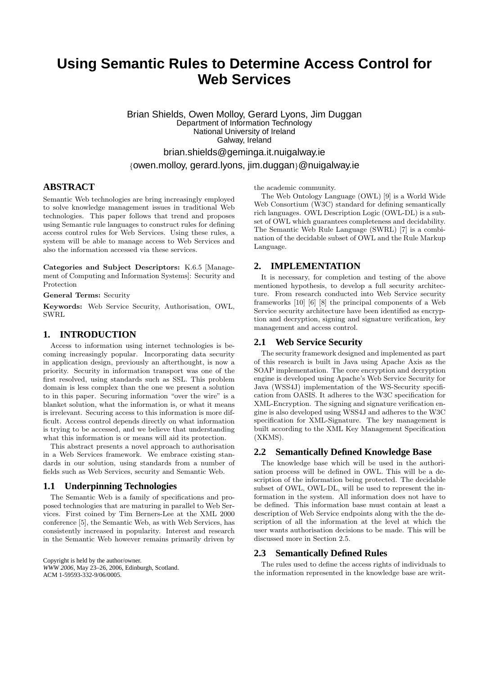# **Using Semantic Rules to Determine Access Control for Web Services**

Brian Shields, Owen Molloy, Gerard Lyons, Jim Duggan Department of Information Technology National University of Ireland Galway, Ireland brian.shields@geminga.it.nuigalway.ie {owen.molloy, gerard.lyons, jim.duggan}@nuigalway.ie

#### **ABSTRACT**

Semantic Web technologies are bring increasingly employed to solve knowledge management issues in traditional Web technologies. This paper follows that trend and proposes using Semantic rule languages to construct rules for defining access control rules for Web Services. Using these rules, a system will be able to manage access to Web Services and also the information accessed via these services.

Categories and Subject Descriptors: K.6.5 [Management of Computing and Information Systems]: Security and Protection

General Terms: Security

Keywords: Web Service Security, Authorisation, OWL, SWRL

## **1. INTRODUCTION**

Access to information using internet technologies is becoming increasingly popular. Incorporating data security in application design, previously an afterthought, is now a priority. Security in information transport was one of the first resolved, using standards such as SSL. This problem domain is less complex than the one we present a solution to in this paper. Securing information "over the wire" is a blanket solution, what the information is, or what it means is irrelevant. Securing access to this information is more difficult. Access control depends directly on what information is trying to be accessed, and we believe that understanding what this information is or means will aid its protection.

This abstract presents a novel approach to authorisation in a Web Services framework. We embrace existing standards in our solution, using standards from a number of fields such as Web Services, security and Semantic Web.

## **1.1 Underpinning Technologies**

The Semantic Web is a family of specifications and proposed technologies that are maturing in parallel to Web Services. First coined by Tim Berners-Lee at the XML 2000 conference [5], the Semantic Web, as with Web Services, has consistently increased in popularity. Interest and research in the Semantic Web however remains primarily driven by

Copyright is held by the author/owner. *WWW 2006,* May 23–26, 2006, Edinburgh, Scotland. ACM 1-59593-332-9/06/0005.

the academic community.

The Web Ontology Language (OWL) [9] is a World Wide Web Consortium (W3C) standard for defining semantically rich languages. OWL Description Logic (OWL-DL) is a subset of OWL which guarantees completeness and decidability. The Semantic Web Rule Language (SWRL) [7] is a combination of the decidable subset of OWL and the Rule Markup Language.

### **2. IMPLEMENTATION**

It is necessary, for completion and testing of the above mentioned hypothesis, to develop a full security architecture. From research conducted into Web Service security frameworks [10] [6] [8] the principal components of a Web Service security architecture have been identified as encryption and decryption, signing and signature verification, key management and access control.

#### **2.1 Web Service Security**

The security framework designed and implemented as part of this research is built in Java using Apache Axis as the SOAP implementation. The core encryption and decryption engine is developed using Apache's Web Service Security for Java (WSS4J) implementation of the WS-Security specification from OASIS. It adheres to the W3C specification for XML-Encryption. The signing and signature verification engine is also developed using WSS4J and adheres to the W3C specification for XML-Signature. The key management is built according to the XML Key Management Specification (XKMS).

### **2.2 Semantically Defined Knowledge Base**

The knowledge base which will be used in the authorisation process will be defined in OWL. This will be a description of the information being protected. The decidable subset of OWL, OWL-DL, will be used to represent the information in the system. All information does not have to be defined. This information base must contain at least a description of Web Service endpoints along with the the description of all the information at the level at which the user wants authorisation decisions to be made. This will be discussed more in Section 2.5.

#### **2.3 Semantically Defined Rules**

The rules used to define the access rights of individuals to the information represented in the knowledge base are writ